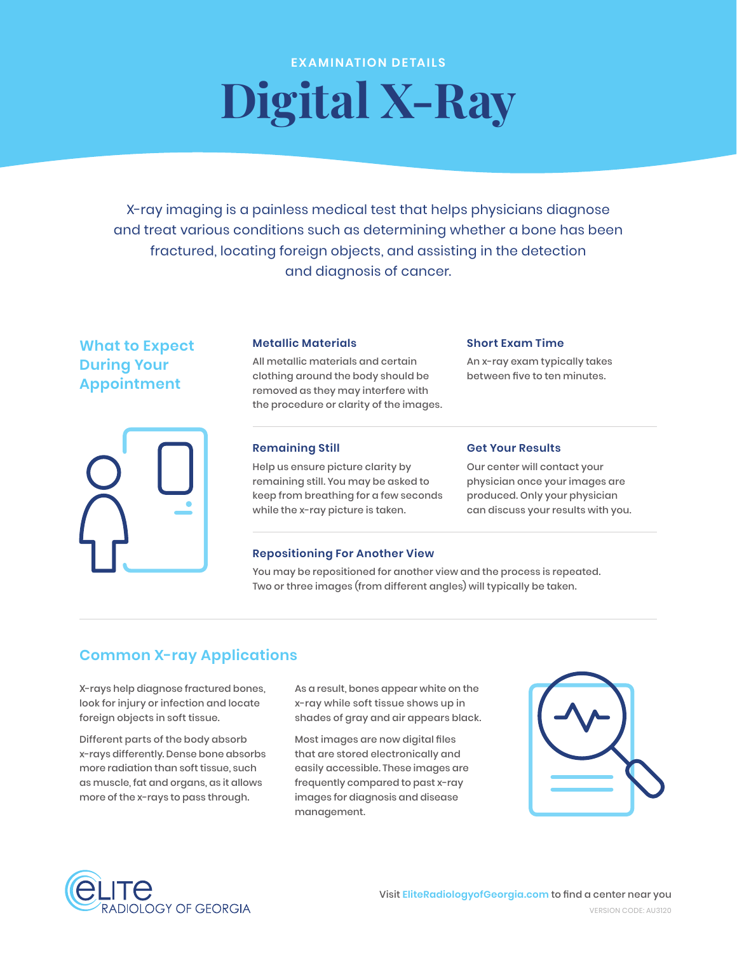## **EXAMINATION DETAILS Digital X-Ray**

X-ray imaging is a painless medical test that helps physicians diagnose and treat various conditions such as determining whether a bone has been fractured, locating foreign objects, and assisting in the detection and diagnosis of cancer.

# What to Expect Metallic Materials Short Exam Time



**During Your** All metallic materials and certain An x-ray exam typically takes<br>clothing around the body should be between five to ten minutes. **Appointment** clothing around the body should be removed as they may interfere with the procedure or clarity of the images.

Help us ensure picture clarity by Our center will contact your remaining still. You may be asked to physician once your images are keep from breathing for a few seconds produced. Only your physician while the x-ray picture is taken. can discuss your results with you.

## **Remaining Still Get Your Results**

## **Repositioning For Another View**

You may be repositioned for another view and the process is repeated. Two or three images (from different angles) will typically be taken.

## **Common X-ray Applications**

X-rays help diagnose fractured bones, As a result, bones appear white on the look for injury or infection and locate x-ray while soft tissue shows up in

x-rays differently. Dense bone absorbs Different parts of the body absorb Most images are now digital files more radiation than soft tissue, such easily accessible. These images are as muscle, fat and organs, as it allows frequently compared to past x-ray more of the x-rays to pass through. images for diagnosis and disease

foreign objects in soft tissue. Shades of gray and air appears black.

that are stored electronically and management.